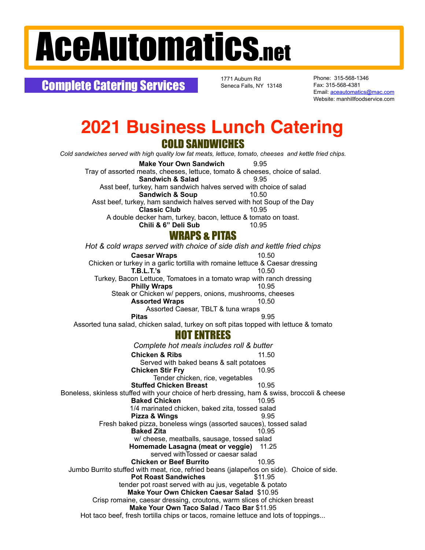## AceAutomatics.net

Complete Catering Services

1771 Auburn Rd Seneca Falls, NY 13148 Phone: 315-568-1346 Fax: 315-568-4381 Email: [aceautomatics@mac.com](mailto:aceautomatics@mac.com) Website: manhillfoodservice.com

## **2021 Business Lunch Catering** COLD SANDWICHES

*Cold sandwiches served with high quality low fat meats, lettuce, tomato, cheeses and kettle fried chips.*

**Make Your Own Sandwich** 9.95 Tray of assorted meats, cheeses, lettuce, tomato & cheeses, choice of salad. **Sandwich & Salad** 9.95 Asst beef, turkey, ham sandwich halves served with choice of salad **Sandwich & Soup** 10.50 Asst beef, turkey, ham sandwich halves served with hot Soup of the Day<br>Classic Club 10.95 **Classic Club** A double decker ham, turkey, bacon, lettuce & tomato on toast. **Chili & 6" Deli Sub** 10.95 WRAPS & PITAS *Hot & cold wraps served with choice of side dish and kettle fried chips* **Caesar Wraps** 10.50 Chicken or turkey in a garlic tortilla with romaine lettuce & Caesar dressing **T.B.L.T.'s** 10.50 Turkey, Bacon Lettuce, Tomatoes in a tomato wrap with ranch dressing **Philly Wraps** 10.95 Steak or Chicken w/ peppers, onions, mushrooms, cheeses<br>**Assorted Wraps** 10.50 **Assorted Wraps** Assorted Caesar, TBLT & tuna wraps **Pitas** 9.95 Assorted tuna salad, chicken salad, turkey on soft pitas topped with lettuce & tomato HOT ENTREES *Complete hot meals includes roll & butter* **Chicken & Ribs** 11.50 Served with baked beans & salt potatoes<br> **icken Stir Frv** 10.95 **Chicken Stir Fry** Tender chicken, rice, vegetables **Stuffed Chicken Breast** 10.95 Boneless, skinless stuffed with your choice of herb dressing, ham & swiss, broccoli & cheese **Baked Chicken** 10.95 1/4 marinated chicken, baked zita, tossed salad **Pizza & Wings** 9.95 Fresh baked pizza, boneless wings (assorted sauces), tossed salad **Baked Zita** 10.95 w/ cheese, meatballs, sausage, tossed salad **Homemade Lasagna (meat or veggie)** 11.25 served withTossed or caesar salad **Chicken or Beef Burrito** 10.95 Jumbo Burrito stuffed with meat, rice, refried beans (jalapeños on side). Choice of side. **Pot Roast Sandwiches** tender pot roast served with au jus, vegetable & potato **Make Your Own Chicken Caesar Salad** \$10.95 Crisp romaine, caesar dressing, croutons, warm slices of chicken breast **Make Your Own Taco Salad / Taco Bar** \$11.95 Hot taco beef, fresh tortilla chips or tacos, romaine lettuce and lots of toppings...